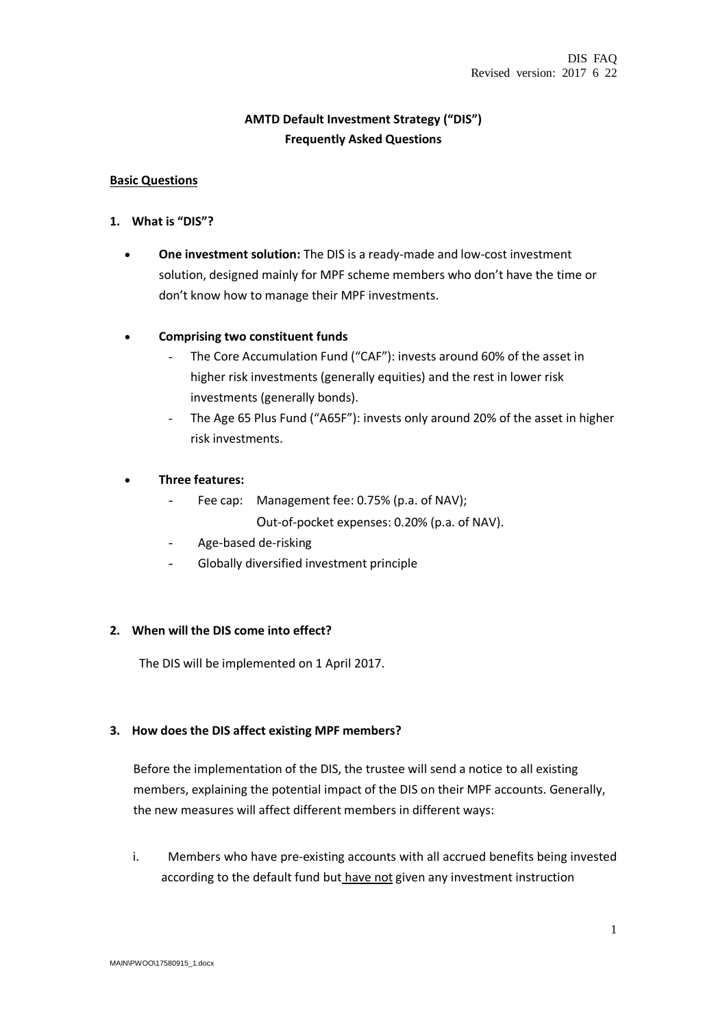## **AMTD Default Investment Strategy ("DIS") Frequently Asked Questions**

### **Basic Questions**

- **1. What is "DIS"?**
	- **One investment solution:** The DIS is a ready-made and low-cost investment solution, designed mainly for MPF scheme members who don't have the time or don't know how to manage their MPF investments.

## **Comprising two constituent funds**

- The Core Accumulation Fund ("CAF"): invests around 60% of the asset in higher risk investments (generally equities) and the rest in lower risk investments (generally bonds).
- The Age 65 Plus Fund ("A65F"): invests only around 20% of the asset in higher risk investments.

## **Three features:**

- Fee cap: Management fee: 0.75% (p.a. of NAV); Out-of-pocket expenses: 0.20% (p.a. of NAV).
- Age-based de-risking
- Globally diversified investment principle

### **2. When will the DIS come into effect?**

The DIS will be implemented on 1 April 2017.

### **3. How does the DIS affect existing MPF members?**

Before the implementation of the DIS, the trustee will send a notice to all existing members, explaining the potential impact of the DIS on their MPF accounts. Generally, the new measures will affect different members in different ways:

i. Members who have pre-existing accounts with all accrued benefits being invested according to the default fund but have not given any investment instruction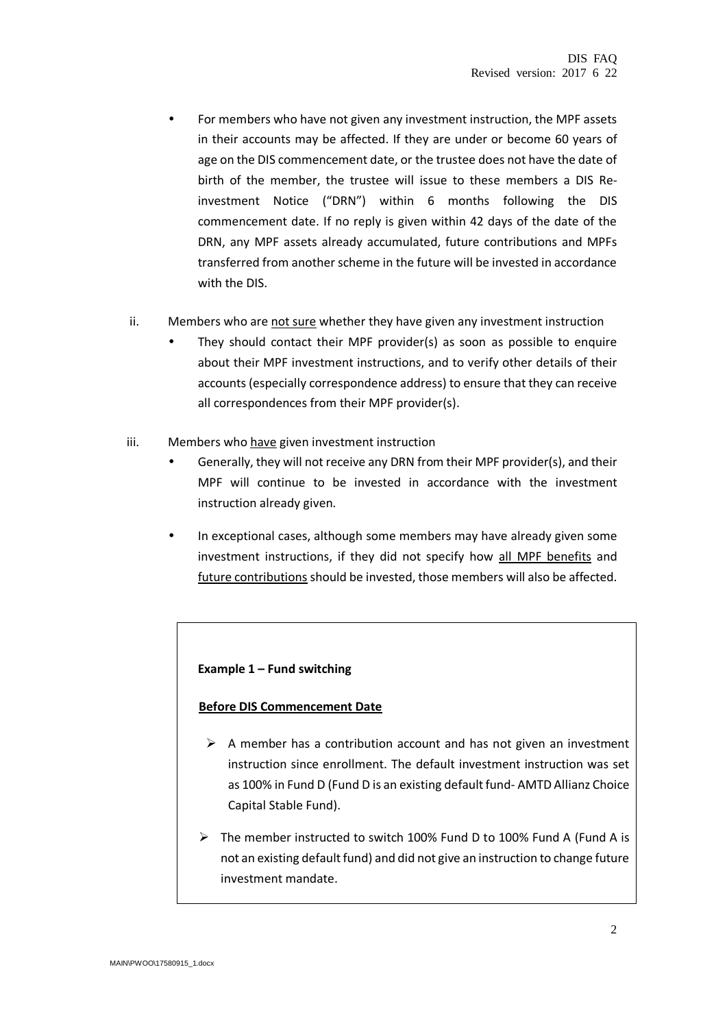- For members who have not given any investment instruction, the MPF assets in their accounts may be affected. If they are under or become 60 years of age on the DIS commencement date, or the trustee does not have the date of birth of the member, the trustee will issue to these members a DIS Reinvestment Notice ("DRN") within 6 months following the DIS commencement date. If no reply is given within 42 days of the date of the DRN, any MPF assets already accumulated, future contributions and MPFs transferred from another scheme in the future will be invested in accordance with the DIS.
- ii. Members who are not sure whether they have given any investment instruction
	- They should contact their MPF provider(s) as soon as possible to enquire about their MPF investment instructions, and to verify other details of their accounts (especially correspondence address) to ensure that they can receive all correspondences from their MPF provider(s).
- iii. Members who have given investment instruction
	- Generally, they will not receive any DRN from their MPF provider(s), and their MPF will continue to be invested in accordance with the investment instruction already given.
	- In exceptional cases, although some members may have already given some investment instructions, if they did not specify how all MPF benefits and future contributions should be invested, those members will also be affected.

### **Example 1 – Fund switching**

#### **Before DIS Commencement Date**

- $\triangleright$  A member has a contribution account and has not given an investment instruction since enrollment. The default investment instruction was set as 100% in Fund D (Fund D is an existing default fund- AMTD Allianz Choice Capital Stable Fund).
- The member instructed to switch 100% Fund D to 100% Fund A (Fund A is not an existing default fund) and did not give an instruction to change future investment mandate.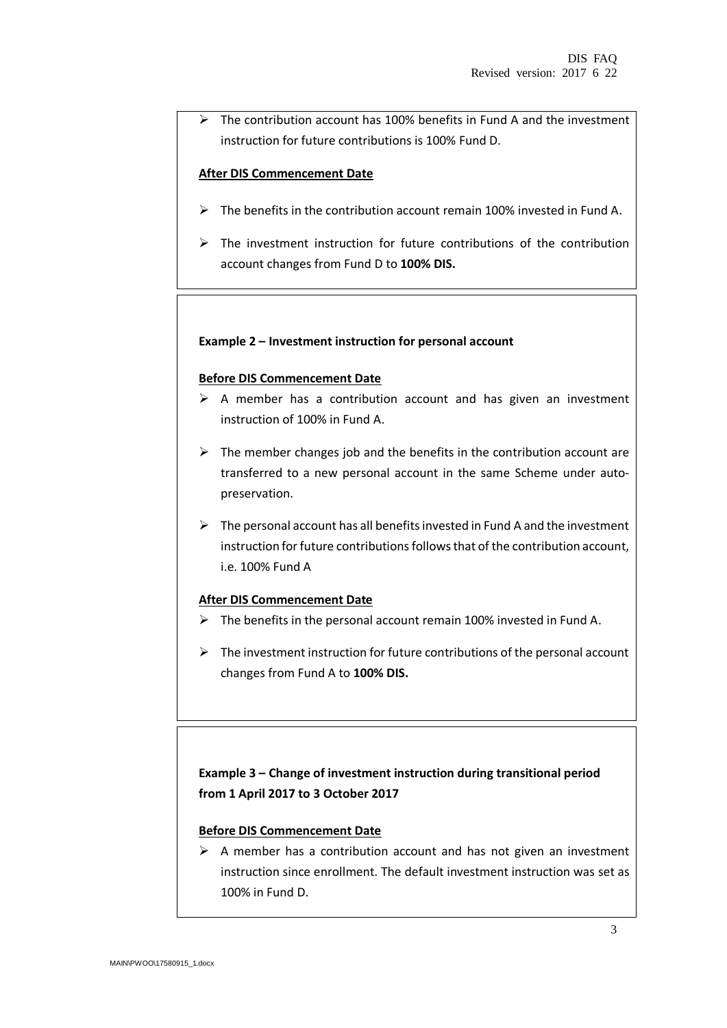$\triangleright$  The contribution account has 100% benefits in Fund A and the investment instruction for future contributions is 100% Fund D.

#### **After DIS Commencement Date**

- $\triangleright$  The benefits in the contribution account remain 100% invested in Fund A.
- $\triangleright$  The investment instruction for future contributions of the contribution account changes from Fund D to **100% DIS.**

#### **Example 2 – Investment instruction for personal account**

#### **Before DIS Commencement Date**

- $\triangleright$  A member has a contribution account and has given an investment instruction of 100% in Fund A.
- $\triangleright$  The member changes job and the benefits in the contribution account are transferred to a new personal account in the same Scheme under autopreservation.
- $\triangleright$  The personal account has all benefits invested in Fund A and the investment instruction for future contributions follows that of the contribution account, i.e. 100% Fund A

### **After DIS Commencement Date**

- $\triangleright$  The benefits in the personal account remain 100% invested in Fund A.
- $\triangleright$  The investment instruction for future contributions of the personal account changes from Fund A to **100% DIS.**

# **Example 3 – Change of investment instruction during transitional period from 1 April 2017 to 3 October 2017**

### **Before DIS Commencement Date**

 $\triangleright$  A member has a contribution account and has not given an investment instruction since enrollment. The default investment instruction was set as 100% in Fund D.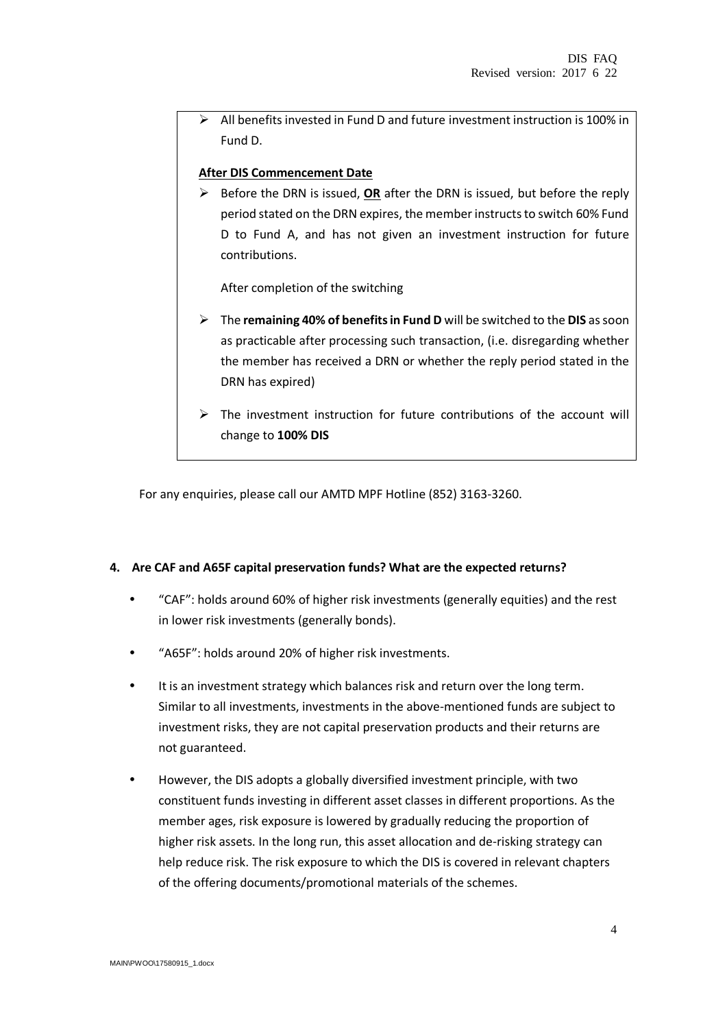$\triangleright$  All benefits invested in Fund D and future investment instruction is 100% in Fund D.

#### **After DIS Commencement Date**

 Before the DRN is issued, **OR** after the DRN is issued, but before the reply period stated on the DRN expires, the member instructs to switch 60% Fund D to Fund A, and has not given an investment instruction for future contributions.

After completion of the switching

- The **remaining 40% of benefits in Fund D** will be switched to the **DIS** as soon as practicable after processing such transaction, (i.e. disregarding whether the member has received a DRN or whether the reply period stated in the DRN has expired)
- $\triangleright$  The investment instruction for future contributions of the account will change to **100% DIS**

For any enquiries, please call our AMTD MPF Hotline (852) 3163-3260.

#### **4. Are CAF and A65F capital preservation funds? What are the expected returns?**

- "CAF": holds around 60% of higher risk investments (generally equities) and the rest in lower risk investments (generally bonds).
- "A65F": holds around 20% of higher risk investments.
- It is an investment strategy which balances risk and return over the long term. Similar to all investments, investments in the above-mentioned funds are subject to investment risks, they are not capital preservation products and their returns are not guaranteed.
- However, the DIS adopts a globally diversified investment principle, with two constituent funds investing in different asset classes in different proportions. As the member ages, risk exposure is lowered by gradually reducing the proportion of higher risk assets. In the long run, this asset allocation and de-risking strategy can help reduce risk. The risk exposure to which the DIS is covered in relevant chapters of the offering documents/promotional materials of the schemes.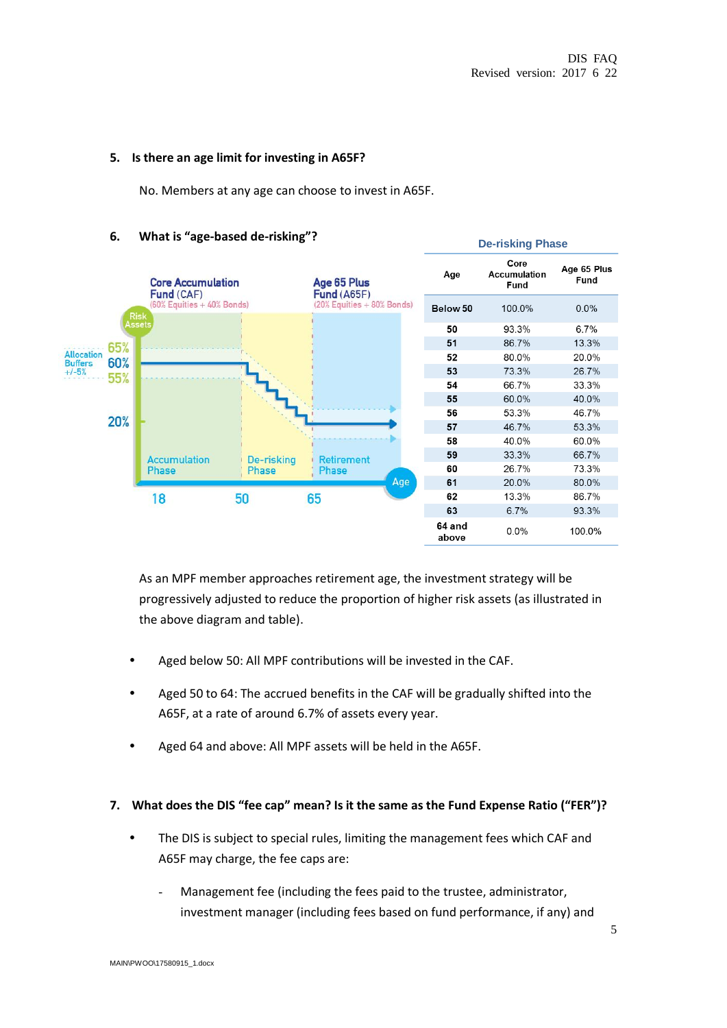#### **5. Is there an age limit for investing in A65F?**

No. Members at any age can choose to invest in A65F.



#### **6. What is "age-based de-risking"?**

As an MPF member approaches retirement age, the investment strategy will be progressively adjusted to reduce the proportion of higher risk assets (as illustrated in the above diagram and table).

- Aged below 50: All MPF contributions will be invested in the CAF.
- Aged 50 to 64: The accrued benefits in the CAF will be gradually shifted into the A65F, at a rate of around 6.7% of assets every year.
- Aged 64 and above: All MPF assets will be held in the A65F.

### **7. What does the DIS "fee cap" mean? Is it the same as the Fund Expense Ratio ("FER")?**

- The DIS is subject to special rules, limiting the management fees which CAF and A65F may charge, the fee caps are:
	- Management fee (including the fees paid to the trustee, administrator, investment manager (including fees based on fund performance, if any) and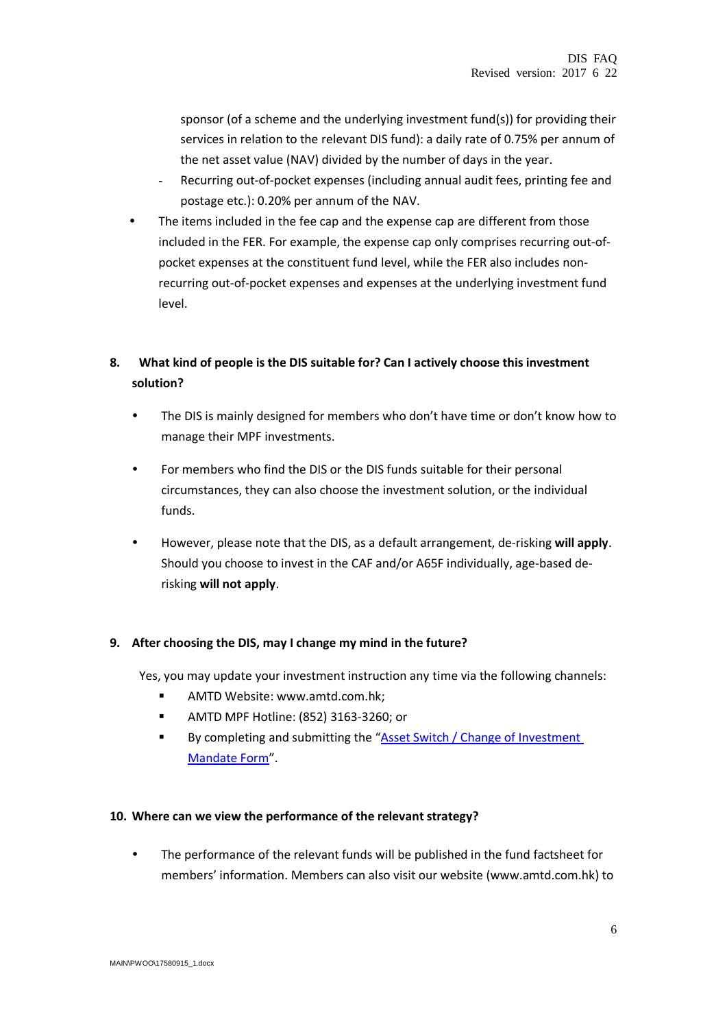sponsor (of a scheme and the underlying investment fund(s)) for providing their services in relation to the relevant DIS fund): a daily rate of 0.75% per annum of the net asset value (NAV) divided by the number of days in the year.

- Recurring out-of-pocket expenses (including annual audit fees, printing fee and postage etc.): 0.20% per annum of the NAV.
- The items included in the fee cap and the expense cap are different from those included in the FER. For example, the expense cap only comprises recurring out-ofpocket expenses at the constituent fund level, while the FER also includes nonrecurring out-of-pocket expenses and expenses at the underlying investment fund level.

# **8. What kind of people is the DIS suitable for? Can I actively choose this investment solution?**

- The DIS is mainly designed for members who don't have time or don't know how to manage their MPF investments.
- For members who find the DIS or the DIS funds suitable for their personal circumstances, they can also choose the investment solution, or the individual funds.
- However, please note that the DIS, as a default arrangement, de-risking **will apply**. Should you choose to invest in the CAF and/or A65F individually, age-based derisking **will not apply**.

## **9. After choosing the DIS, may I change my mind in the future?**

Yes, you may update your investment instruction any time via the following channels:

- **AMTD Website: www.amtd.com.hk:**
- **AMTD MPF Hotline: (852) 3163-3260; or**
- By completing and submitting the "Asset Switch / Change of Investment [Mandate Form](http://amtd.com.hk/sites/default/files/pdf/mpf/IM(MEM)-TCM.pdf)".

### **10. Where can we view the performance of the relevant strategy?**

 The performance of the relevant funds will be published in the fund factsheet for members' information. Members can also visit our website (www.amtd.com.hk) to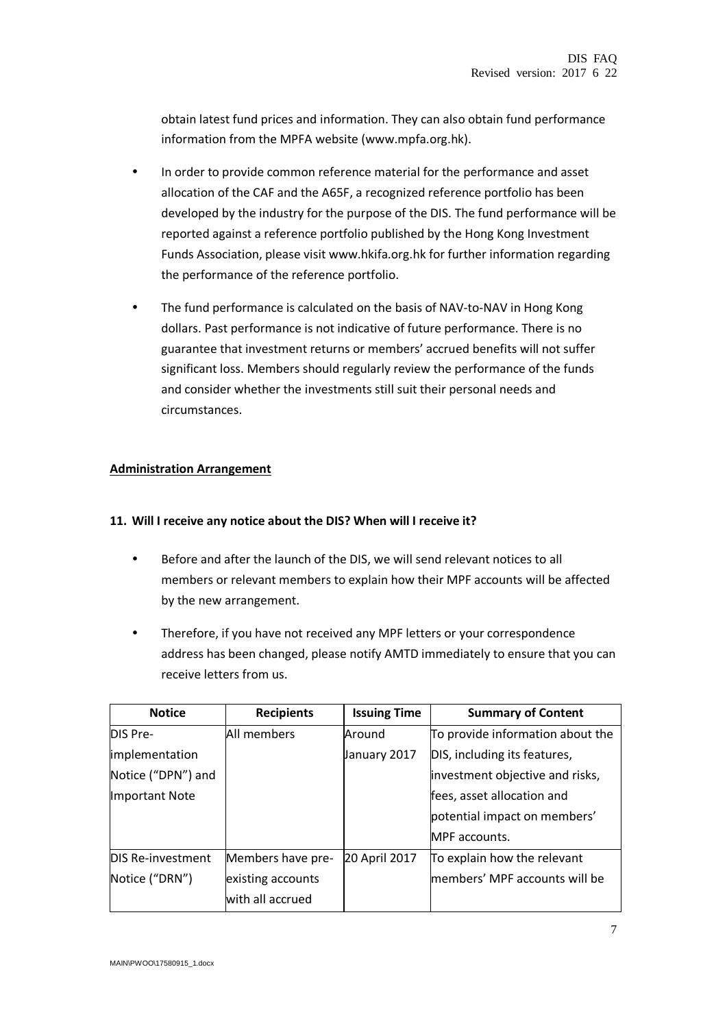obtain latest fund prices and information. They can also obtain fund performance information from the MPFA website (www.mpfa.org.hk).

- In order to provide common reference material for the performance and asset allocation of the CAF and the A65F, a recognized reference portfolio has been developed by the industry for the purpose of the DIS. The fund performance will be reported against a reference portfolio published by the Hong Kong Investment Funds Association, please visit [www.hkifa.org.hk](http://www.hkifa.org.hk/) for further information regarding the performance of the reference portfolio.
- The fund performance is calculated on the basis of NAV-to-NAV in Hong Kong dollars. Past performance is not indicative of future performance. There is no guarantee that investment returns or members' accrued benefits will not suffer significant loss. Members should regularly review the performance of the funds and consider whether the investments still suit their personal needs and circumstances.

## **Administration Arrangement**

### **11. Will I receive any notice about the DIS? When will I receive it?**

- Before and after the launch of the DIS, we will send relevant notices to all members or relevant members to explain how their MPF accounts will be affected by the new arrangement.
- Therefore, if you have not received any MPF letters or your correspondence address has been changed, please notify AMTD immediately to ensure that you can receive letters from us.

| <b>Notice</b>            | <b>Recipients</b> | <b>Issuing Time</b> | <b>Summary of Content</b>        |
|--------------------------|-------------------|---------------------|----------------------------------|
| DIS Pre-                 | All members       | Around              | To provide information about the |
| implementation           |                   | January 2017        | DIS, including its features,     |
| Notice ("DPN") and       |                   |                     | investment objective and risks,  |
| Important Note           |                   |                     | fees, asset allocation and       |
|                          |                   |                     | potential impact on members'     |
|                          |                   |                     | MPF accounts.                    |
| <b>DIS Re-investment</b> | Members have pre- | 20 April 2017       | To explain how the relevant      |
| Notice ("DRN")           | existing accounts |                     | members' MPF accounts will be    |
|                          | with all accrued  |                     |                                  |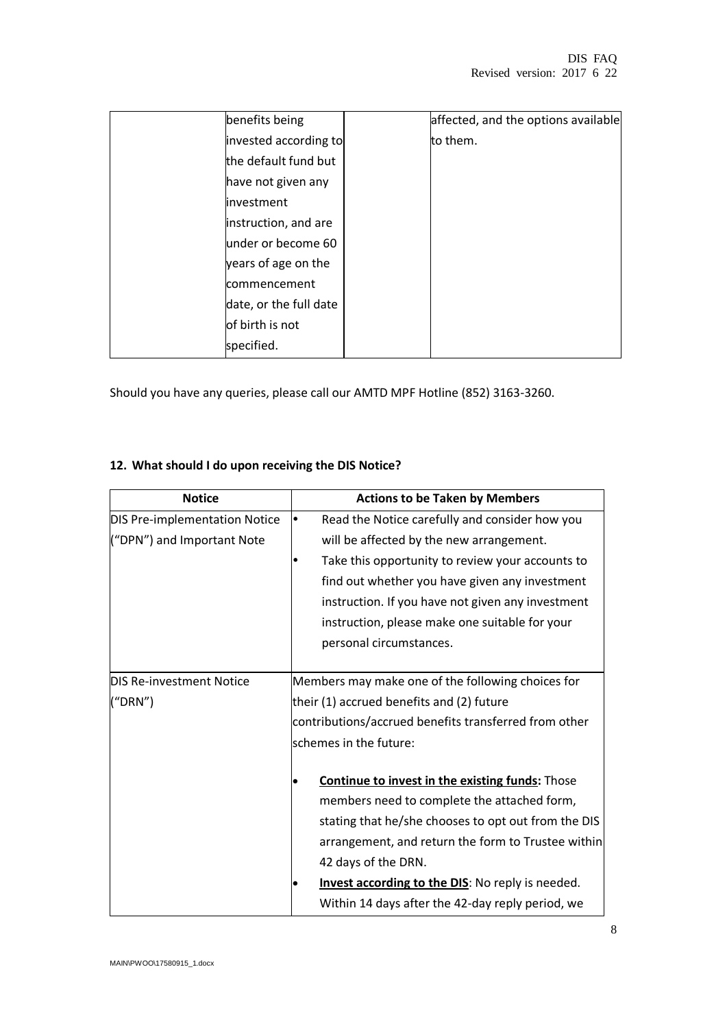| benefits being         | affected, and the options available |
|------------------------|-------------------------------------|
| invested according to  | to them.                            |
| the default fund but   |                                     |
| have not given any     |                                     |
| linvestment            |                                     |
| instruction, and are   |                                     |
| under or become 60     |                                     |
| years of age on the    |                                     |
| commencement           |                                     |
| date, or the full date |                                     |
| of birth is not        |                                     |
| specified.             |                                     |

Should you have any queries, please call our AMTD MPF Hotline (852) 3163-3260.

# **12. What should I do upon receiving the DIS Notice?**

| <b>Notice</b>                   | <b>Actions to be Taken by Members</b>                  |  |
|---------------------------------|--------------------------------------------------------|--|
| DIS Pre-implementation Notice   | Read the Notice carefully and consider how you         |  |
| ("DPN") and Important Note      | will be affected by the new arrangement.               |  |
|                                 | Take this opportunity to review your accounts to       |  |
|                                 | find out whether you have given any investment         |  |
|                                 | instruction. If you have not given any investment      |  |
|                                 | instruction, please make one suitable for your         |  |
|                                 | personal circumstances.                                |  |
|                                 |                                                        |  |
| <b>DIS Re-investment Notice</b> | Members may make one of the following choices for      |  |
| ('DRN")                         | their (1) accrued benefits and (2) future              |  |
|                                 | contributions/accrued benefits transferred from other  |  |
|                                 | schemes in the future:                                 |  |
|                                 |                                                        |  |
|                                 | <b>Continue to invest in the existing funds: Those</b> |  |
|                                 | members need to complete the attached form,            |  |
|                                 | stating that he/she chooses to opt out from the DIS    |  |
|                                 | arrangement, and return the form to Trustee within     |  |
|                                 | 42 days of the DRN.                                    |  |
|                                 | Invest according to the DIS: No reply is needed.       |  |
|                                 | Within 14 days after the 42-day reply period, we       |  |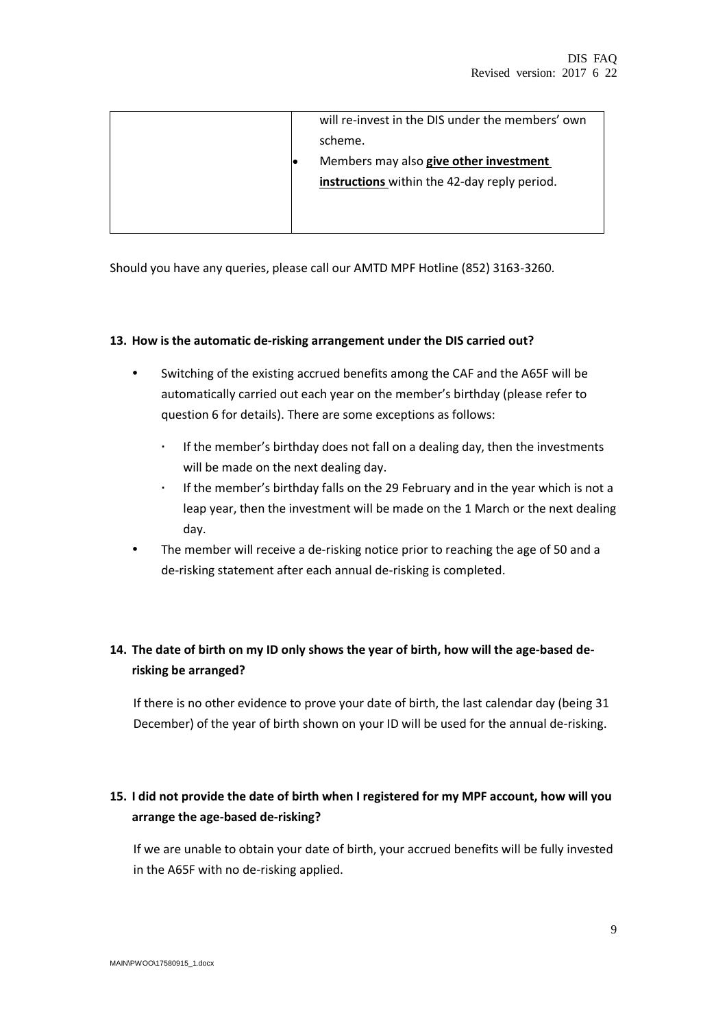|  | will re-invest in the DIS under the members' own |
|--|--------------------------------------------------|
|  | scheme.                                          |
|  | Members may also give other investment           |
|  | instructions within the 42-day reply period.     |
|  |                                                  |
|  |                                                  |

Should you have any queries, please call our AMTD MPF Hotline (852) 3163-3260.

#### **13. How is the automatic de-risking arrangement under the DIS carried out?**

- Switching of the existing accrued benefits among the CAF and the A65F will be automatically carried out each year on the member's birthday (please refer to question 6 for details). There are some exceptions as follows:
	- If the member's birthday does not fall on a dealing day, then the investments will be made on the next dealing day.
	- If the member's birthday falls on the 29 February and in the year which is not a leap year, then the investment will be made on the 1 March or the next dealing day.
- The member will receive a de-risking notice prior to reaching the age of 50 and a de-risking statement after each annual de-risking is completed.

# **14. The date of birth on my ID only shows the year of birth, how will the age-based derisking be arranged?**

If there is no other evidence to prove your date of birth, the last calendar day (being 31 December) of the year of birth shown on your ID will be used for the annual de-risking.

# **15. I did not provide the date of birth when I registered for my MPF account, how will you arrange the age-based de-risking?**

If we are unable to obtain your date of birth, your accrued benefits will be fully invested in the A65F with no de-risking applied.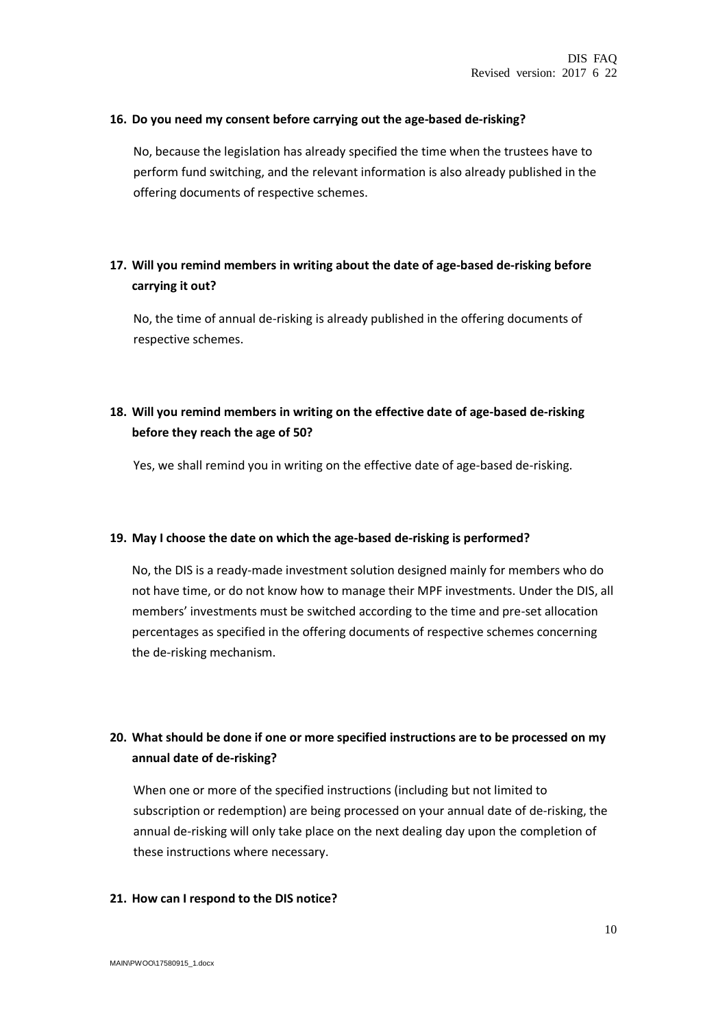#### **16. Do you need my consent before carrying out the age-based de-risking?**

No, because the legislation has already specified the time when the trustees have to perform fund switching, and the relevant information is also already published in the offering documents of respective schemes.

## **17. Will you remind members in writing about the date of age-based de-risking before carrying it out?**

No, the time of annual de-risking is already published in the offering documents of respective schemes.

# **18. Will you remind members in writing on the effective date of age-based de-risking before they reach the age of 50?**

Yes, we shall remind you in writing on the effective date of age-based de-risking.

#### **19. May I choose the date on which the age-based de-risking is performed?**

No, the DIS is a ready-made investment solution designed mainly for members who do not have time, or do not know how to manage their MPF investments. Under the DIS, all members' investments must be switched according to the time and pre-set allocation percentages as specified in the offering documents of respective schemes concerning the de-risking mechanism.

# **20. What should be done if one or more specified instructions are to be processed on my annual date of de-risking?**

When one or more of the specified instructions (including but not limited to subscription or redemption) are being processed on your annual date of de-risking, the annual de-risking will only take place on the next dealing day upon the completion of these instructions where necessary.

#### **21. How can I respond to the DIS notice?**